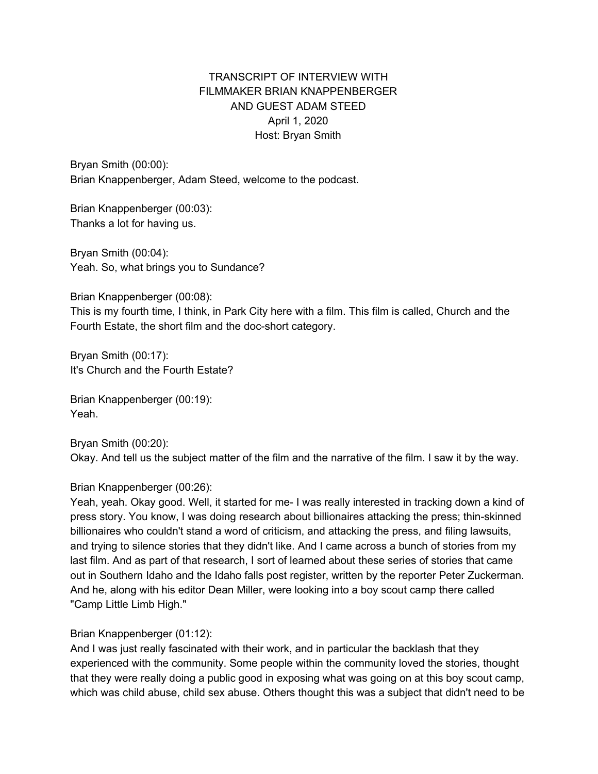# TRANSCRIPT OF INTERVIEW WITH FILMMAKER BRIAN KNAPPENBERGER AND GUEST ADAM STEED April 1, 2020 Host: Bryan Smith

Bryan Smith (00:00): Brian Knappenberger, Adam Steed, welcome to the podcast.

Brian Knappenberger (00:03): Thanks a lot for having us.

Bryan Smith (00:04): Yeah. So, what brings you to Sundance?

Brian Knappenberger (00:08):

This is my fourth time, I think, in Park City here with a film. This film is called, Church and the Fourth Estate, the short film and the doc-short category.

Bryan Smith (00:17): It's Church and the Fourth Estate?

Brian Knappenberger (00:19): Yeah.

Bryan Smith (00:20): Okay. And tell us the subject matter of the film and the narrative of the film. I saw it by the way.

Brian Knappenberger (00:26):

Yeah, yeah. Okay good. Well, it started for me- I was really interested in tracking down a kind of press story. You know, I was doing research about billionaires attacking the press; thin-skinned billionaires who couldn't stand a word of criticism, and attacking the press, and filing lawsuits, and trying to silence stories that they didn't like. And I came across a bunch of stories from my last film. And as part of that research, I sort of learned about these series of stories that came out in Southern Idaho and the Idaho falls post register, written by the reporter Peter Zuckerman. And he, along with his editor Dean Miller, were looking into a boy scout camp there called "Camp Little Limb High."

# Brian Knappenberger (01:12):

And I was just really fascinated with their work, and in particular the backlash that they experienced with the community. Some people within the community loved the stories, thought that they were really doing a public good in exposing what was going on at this boy scout camp, which was child abuse, child sex abuse. Others thought this was a subject that didn't need to be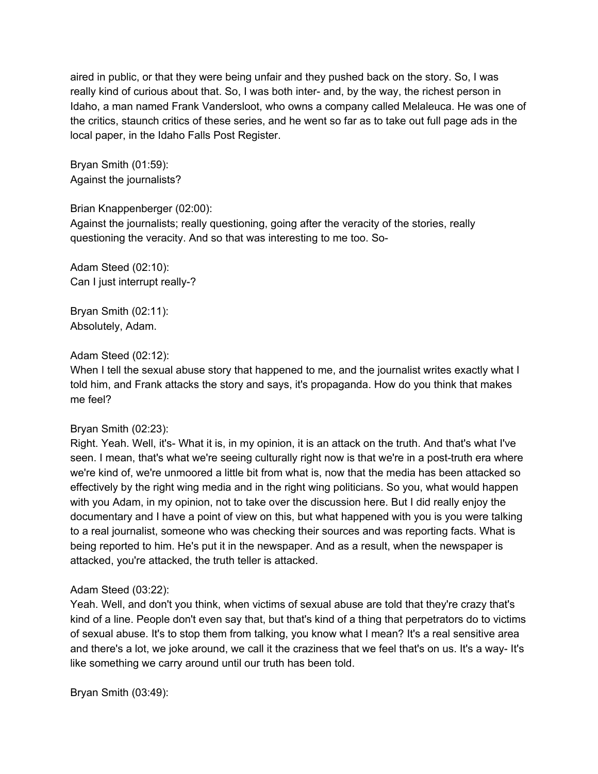aired in public, or that they were being unfair and they pushed back on the story. So, I was really kind of curious about that. So, I was both inter- and, by the way, the richest person in Idaho, a man named Frank Vandersloot, who owns a company called Melaleuca. He was one of the critics, staunch critics of these series, and he went so far as to take out full page ads in the local paper, in the Idaho Falls Post Register.

Bryan Smith (01:59): Against the journalists?

# Brian Knappenberger (02:00):

Against the journalists; really questioning, going after the veracity of the stories, really questioning the veracity. And so that was interesting to me too. So-

Adam Steed (02:10): Can I just interrupt really-?

Bryan Smith (02:11): Absolutely, Adam.

## Adam Steed (02:12):

When I tell the sexual abuse story that happened to me, and the journalist writes exactly what I told him, and Frank attacks the story and says, it's propaganda. How do you think that makes me feel?

## Bryan Smith (02:23):

Right. Yeah. Well, it's- What it is, in my opinion, it is an attack on the truth. And that's what I've seen. I mean, that's what we're seeing culturally right now is that we're in a post-truth era where we're kind of, we're unmoored a little bit from what is, now that the media has been attacked so effectively by the right wing media and in the right wing politicians. So you, what would happen with you Adam, in my opinion, not to take over the discussion here. But I did really enjoy the documentary and I have a point of view on this, but what happened with you is you were talking to a real journalist, someone who was checking their sources and was reporting facts. What is being reported to him. He's put it in the newspaper. And as a result, when the newspaper is attacked, you're attacked, the truth teller is attacked.

## Adam Steed (03:22):

Yeah. Well, and don't you think, when victims of sexual abuse are told that they're crazy that's kind of a line. People don't even say that, but that's kind of a thing that perpetrators do to victims of sexual abuse. It's to stop them from talking, you know what I mean? It's a real sensitive area and there's a lot, we joke around, we call it the craziness that we feel that's on us. It's a way- It's like something we carry around until our truth has been told.

Bryan Smith (03:49):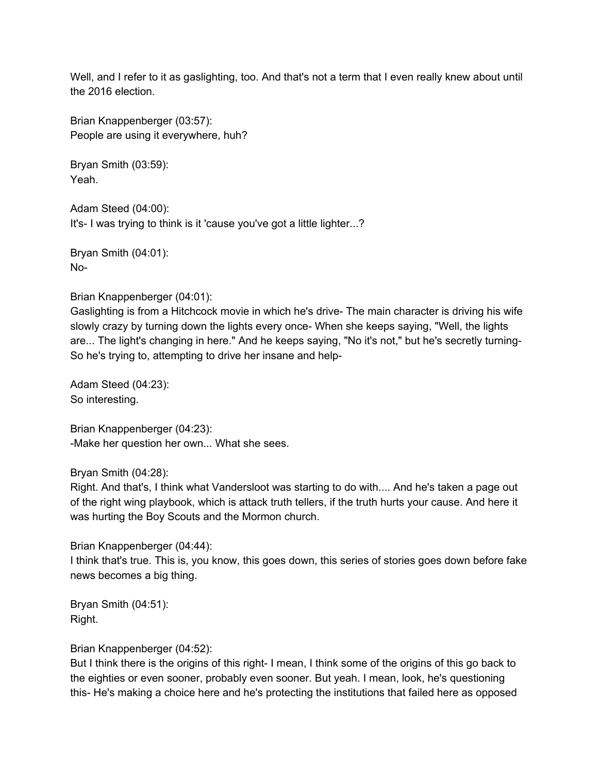Well, and I refer to it as gaslighting, too. And that's not a term that I even really knew about until the 2016 election.

Brian Knappenberger (03:57): People are using it everywhere, huh?

Bryan Smith (03:59): Yeah.

Adam Steed (04:00): It's- I was trying to think is it 'cause you've got a little lighter...?

Bryan Smith (04:01): No-

Brian Knappenberger (04:01):

Gaslighting is from a Hitchcock movie in which he's drive- The main character is driving his wife slowly crazy by turning down the lights every once- When she keeps saying, "Well, the lights are... The light's changing in here." And he keeps saying, "No it's not," but he's secretly turning-So he's trying to, attempting to drive her insane and help-

Adam Steed (04:23): So interesting.

Brian Knappenberger (04:23): -Make her question her own... What she sees.

Bryan Smith (04:28):

Right. And that's, I think what Vandersloot was starting to do with.... And he's taken a page out of the right wing playbook, which is attack truth tellers, if the truth hurts your cause. And here it was hurting the Boy Scouts and the Mormon church.

Brian Knappenberger (04:44): I think that's true. This is, you know, this goes down, this series of stories goes down before fake news becomes a big thing.

Bryan Smith (04:51): Right.

Brian Knappenberger (04:52):

But I think there is the origins of this right- I mean, I think some of the origins of this go back to the eighties or even sooner, probably even sooner. But yeah. I mean, look, he's questioning this- He's making a choice here and he's protecting the institutions that failed here as opposed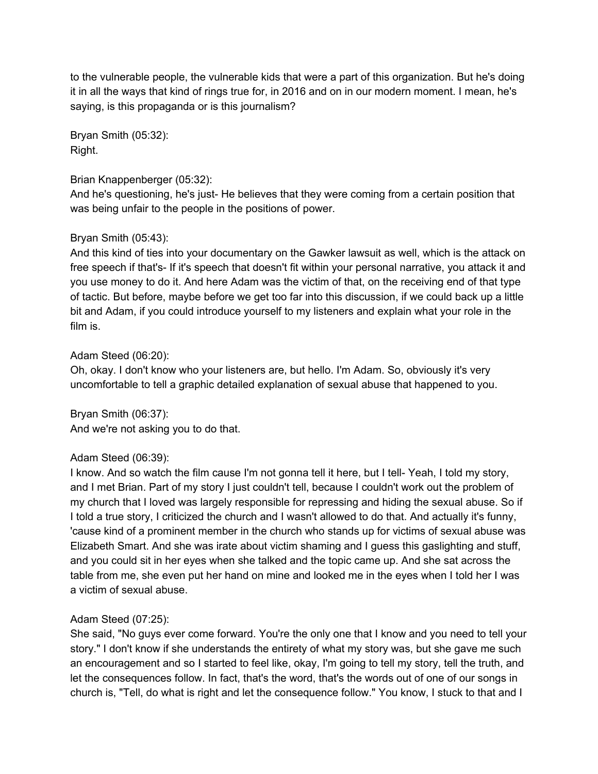to the vulnerable people, the vulnerable kids that were a part of this organization. But he's doing it in all the ways that kind of rings true for, in 2016 and on in our modern moment. I mean, he's saying, is this propaganda or is this journalism?

Bryan Smith (05:32): Right.

# Brian Knappenberger (05:32):

And he's questioning, he's just- He believes that they were coming from a certain position that was being unfair to the people in the positions of power.

# Bryan Smith (05:43):

And this kind of ties into your documentary on the Gawker lawsuit as well, which is the attack on free speech if that's- If it's speech that doesn't fit within your personal narrative, you attack it and you use money to do it. And here Adam was the victim of that, on the receiving end of that type of tactic. But before, maybe before we get too far into this discussion, if we could back up a little bit and Adam, if you could introduce yourself to my listeners and explain what your role in the film is.

## Adam Steed (06:20):

Oh, okay. I don't know who your listeners are, but hello. I'm Adam. So, obviously it's very uncomfortable to tell a graphic detailed explanation of sexual abuse that happened to you.

Bryan Smith (06:37): And we're not asking you to do that.

# Adam Steed (06:39):

I know. And so watch the film cause I'm not gonna tell it here, but I tell- Yeah, I told my story, and I met Brian. Part of my story I just couldn't tell, because I couldn't work out the problem of my church that I loved was largely responsible for repressing and hiding the sexual abuse. So if I told a true story, I criticized the church and I wasn't allowed to do that. And actually it's funny, 'cause kind of a prominent member in the church who stands up for victims of sexual abuse was Elizabeth Smart. And she was irate about victim shaming and I guess this gaslighting and stuff, and you could sit in her eyes when she talked and the topic came up. And she sat across the table from me, she even put her hand on mine and looked me in the eyes when I told her I was a victim of sexual abuse.

## Adam Steed (07:25):

She said, "No guys ever come forward. You're the only one that I know and you need to tell your story." I don't know if she understands the entirety of what my story was, but she gave me such an encouragement and so I started to feel like, okay, I'm going to tell my story, tell the truth, and let the consequences follow. In fact, that's the word, that's the words out of one of our songs in church is, "Tell, do what is right and let the consequence follow." You know, I stuck to that and I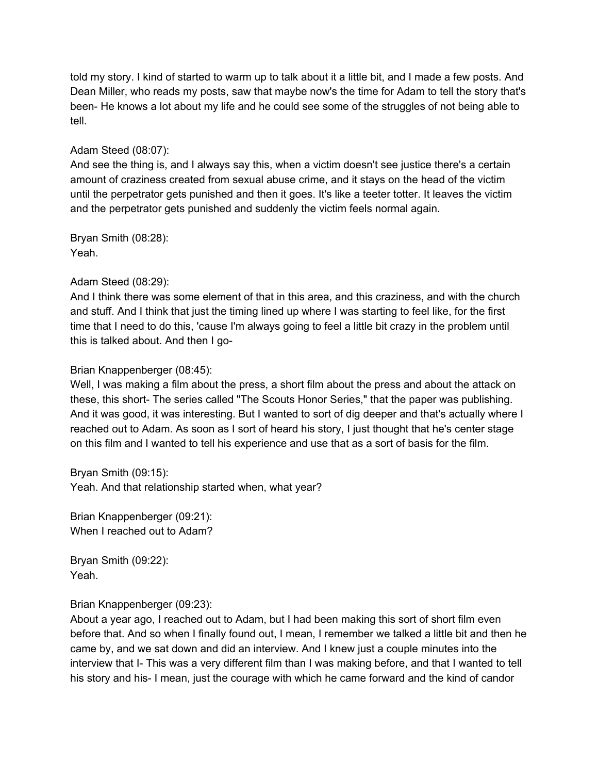told my story. I kind of started to warm up to talk about it a little bit, and I made a few posts. And Dean Miller, who reads my posts, saw that maybe now's the time for Adam to tell the story that's been- He knows a lot about my life and he could see some of the struggles of not being able to tell.

# Adam Steed (08:07):

And see the thing is, and I always say this, when a victim doesn't see justice there's a certain amount of craziness created from sexual abuse crime, and it stays on the head of the victim until the perpetrator gets punished and then it goes. It's like a teeter totter. It leaves the victim and the perpetrator gets punished and suddenly the victim feels normal again.

Bryan Smith (08:28): Yeah.

# Adam Steed (08:29):

And I think there was some element of that in this area, and this craziness, and with the church and stuff. And I think that just the timing lined up where I was starting to feel like, for the first time that I need to do this, 'cause I'm always going to feel a little bit crazy in the problem until this is talked about. And then I go-

# Brian Knappenberger (08:45):

Well, I was making a film about the press, a short film about the press and about the attack on these, this short- The series called "The Scouts Honor Series," that the paper was publishing. And it was good, it was interesting. But I wanted to sort of dig deeper and that's actually where I reached out to Adam. As soon as I sort of heard his story, I just thought that he's center stage on this film and I wanted to tell his experience and use that as a sort of basis for the film.

Bryan Smith (09:15): Yeah. And that relationship started when, what year?

Brian Knappenberger (09:21): When I reached out to Adam?

Bryan Smith (09:22): Yeah.

# Brian Knappenberger (09:23):

About a year ago, I reached out to Adam, but I had been making this sort of short film even before that. And so when I finally found out, I mean, I remember we talked a little bit and then he came by, and we sat down and did an interview. And I knew just a couple minutes into the interview that I- This was a very different film than I was making before, and that I wanted to tell his story and his- I mean, just the courage with which he came forward and the kind of candor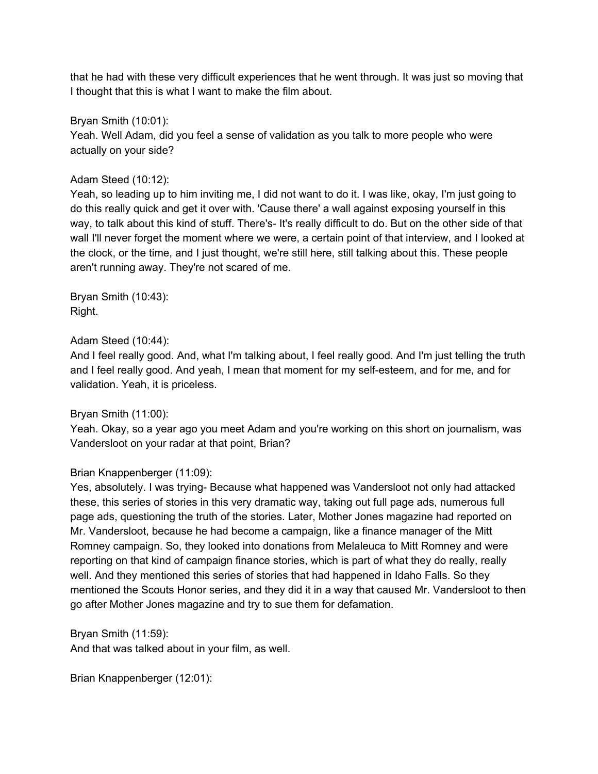that he had with these very difficult experiences that he went through. It was just so moving that I thought that this is what I want to make the film about.

Bryan Smith (10:01):

Yeah. Well Adam, did you feel a sense of validation as you talk to more people who were actually on your side?

## Adam Steed (10:12):

Yeah, so leading up to him inviting me, I did not want to do it. I was like, okay, I'm just going to do this really quick and get it over with. 'Cause there' a wall against exposing yourself in this way, to talk about this kind of stuff. There's- It's really difficult to do. But on the other side of that wall I'll never forget the moment where we were, a certain point of that interview, and I looked at the clock, or the time, and I just thought, we're still here, still talking about this. These people aren't running away. They're not scared of me.

Bryan Smith (10:43): Right.

# Adam Steed (10:44):

And I feel really good. And, what I'm talking about, I feel really good. And I'm just telling the truth and I feel really good. And yeah, I mean that moment for my self-esteem, and for me, and for validation. Yeah, it is priceless.

# Bryan Smith (11:00):

Yeah. Okay, so a year ago you meet Adam and you're working on this short on journalism, was Vandersloot on your radar at that point, Brian?

# Brian Knappenberger (11:09):

Yes, absolutely. I was trying- Because what happened was Vandersloot not only had attacked these, this series of stories in this very dramatic way, taking out full page ads, numerous full page ads, questioning the truth of the stories. Later, Mother Jones magazine had reported on Mr. Vandersloot, because he had become a campaign, like a finance manager of the Mitt Romney campaign. So, they looked into donations from Melaleuca to Mitt Romney and were reporting on that kind of campaign finance stories, which is part of what they do really, really well. And they mentioned this series of stories that had happened in Idaho Falls. So they mentioned the Scouts Honor series, and they did it in a way that caused Mr. Vandersloot to then go after Mother Jones magazine and try to sue them for defamation.

Bryan Smith (11:59): And that was talked about in your film, as well.

Brian Knappenberger (12:01):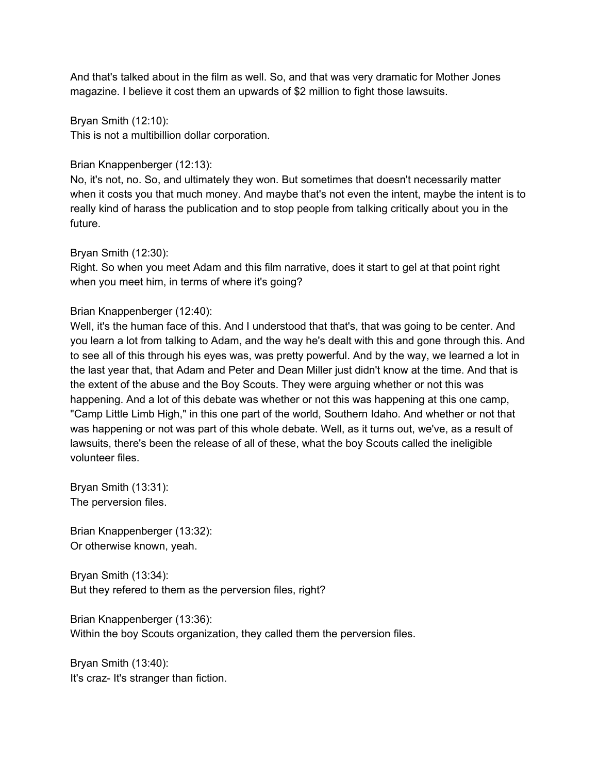And that's talked about in the film as well. So, and that was very dramatic for Mother Jones magazine. I believe it cost them an upwards of \$2 million to fight those lawsuits.

Bryan Smith (12:10): This is not a multibillion dollar corporation.

Brian Knappenberger (12:13):

No, it's not, no. So, and ultimately they won. But sometimes that doesn't necessarily matter when it costs you that much money. And maybe that's not even the intent, maybe the intent is to really kind of harass the publication and to stop people from talking critically about you in the future.

Bryan Smith (12:30):

Right. So when you meet Adam and this film narrative, does it start to gel at that point right when you meet him, in terms of where it's going?

# Brian Knappenberger (12:40):

Well, it's the human face of this. And I understood that that's, that was going to be center. And you learn a lot from talking to Adam, and the way he's dealt with this and gone through this. And to see all of this through his eyes was, was pretty powerful. And by the way, we learned a lot in the last year that, that Adam and Peter and Dean Miller just didn't know at the time. And that is the extent of the abuse and the Boy Scouts. They were arguing whether or not this was happening. And a lot of this debate was whether or not this was happening at this one camp, "Camp Little Limb High," in this one part of the world, Southern Idaho. And whether or not that was happening or not was part of this whole debate. Well, as it turns out, we've, as a result of lawsuits, there's been the release of all of these, what the boy Scouts called the ineligible volunteer files.

Bryan Smith (13:31): The perversion files.

Brian Knappenberger (13:32): Or otherwise known, yeah.

Bryan Smith (13:34): But they refered to them as the perversion files, right?

Brian Knappenberger (13:36): Within the boy Scouts organization, they called them the perversion files.

Bryan Smith (13:40): It's craz- It's stranger than fiction.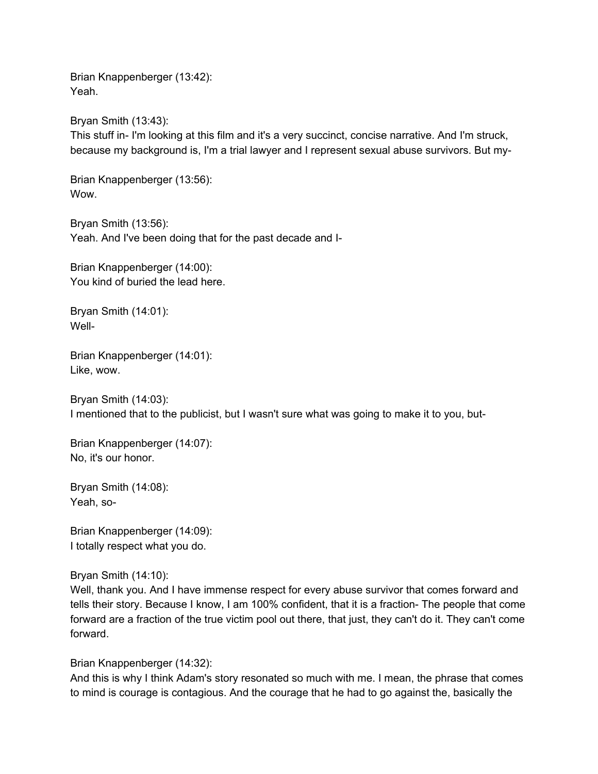Brian Knappenberger (13:42): Yeah.

Bryan Smith (13:43): This stuff in- I'm looking at this film and it's a very succinct, concise narrative. And I'm struck, because my background is, I'm a trial lawyer and I represent sexual abuse survivors. But my-

Brian Knappenberger (13:56): Wow.

Bryan Smith (13:56): Yeah. And I've been doing that for the past decade and I-

Brian Knappenberger (14:00): You kind of buried the lead here.

Bryan Smith (14:01): Well-

Brian Knappenberger (14:01): Like, wow.

Bryan Smith (14:03): I mentioned that to the publicist, but I wasn't sure what was going to make it to you, but-

Brian Knappenberger (14:07): No, it's our honor.

Bryan Smith (14:08): Yeah, so-

Brian Knappenberger (14:09): I totally respect what you do.

Bryan Smith (14:10):

Well, thank you. And I have immense respect for every abuse survivor that comes forward and tells their story. Because I know, I am 100% confident, that it is a fraction- The people that come forward are a fraction of the true victim pool out there, that just, they can't do it. They can't come forward.

Brian Knappenberger (14:32):

And this is why I think Adam's story resonated so much with me. I mean, the phrase that comes to mind is courage is contagious. And the courage that he had to go against the, basically the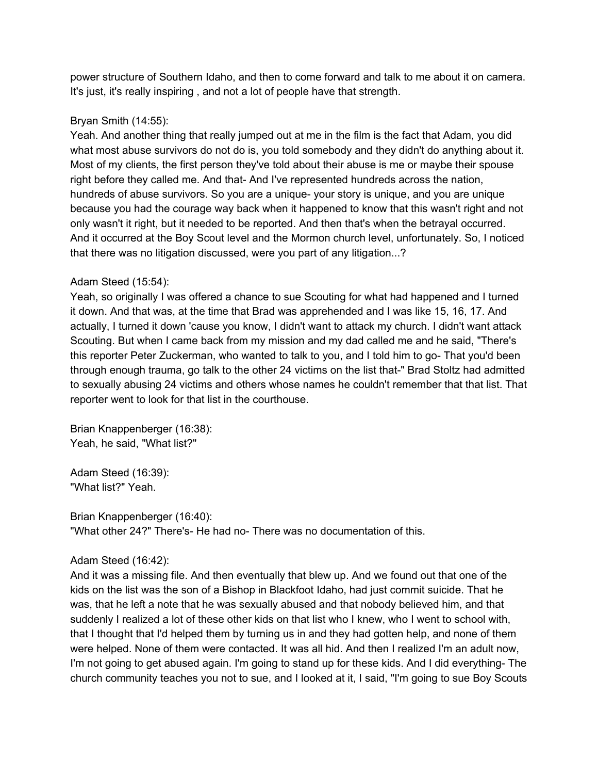power structure of Southern Idaho, and then to come forward and talk to me about it on camera. It's just, it's really inspiring , and not a lot of people have that strength.

# Bryan Smith (14:55):

Yeah. And another thing that really jumped out at me in the film is the fact that Adam, you did what most abuse survivors do not do is, you told somebody and they didn't do anything about it. Most of my clients, the first person they've told about their abuse is me or maybe their spouse right before they called me. And that- And I've represented hundreds across the nation, hundreds of abuse survivors. So you are a unique- your story is unique, and you are unique because you had the courage way back when it happened to know that this wasn't right and not only wasn't it right, but it needed to be reported. And then that's when the betrayal occurred. And it occurred at the Boy Scout level and the Mormon church level, unfortunately. So, I noticed that there was no litigation discussed, were you part of any litigation...?

# Adam Steed (15:54):

Yeah, so originally I was offered a chance to sue Scouting for what had happened and I turned it down. And that was, at the time that Brad was apprehended and I was like 15, 16, 17. And actually, I turned it down 'cause you know, I didn't want to attack my church. I didn't want attack Scouting. But when I came back from my mission and my dad called me and he said, "There's this reporter Peter Zuckerman, who wanted to talk to you, and I told him to go- That you'd been through enough trauma, go talk to the other 24 victims on the list that-" Brad Stoltz had admitted to sexually abusing 24 victims and others whose names he couldn't remember that that list. That reporter went to look for that list in the courthouse.

Brian Knappenberger (16:38): Yeah, he said, "What list?"

Adam Steed (16:39): "What list?" Yeah.

Brian Knappenberger (16:40): "What other 24?" There's- He had no- There was no documentation of this.

## Adam Steed (16:42):

And it was a missing file. And then eventually that blew up. And we found out that one of the kids on the list was the son of a Bishop in Blackfoot Idaho, had just commit suicide. That he was, that he left a note that he was sexually abused and that nobody believed him, and that suddenly I realized a lot of these other kids on that list who I knew, who I went to school with, that I thought that I'd helped them by turning us in and they had gotten help, and none of them were helped. None of them were contacted. It was all hid. And then I realized I'm an adult now, I'm not going to get abused again. I'm going to stand up for these kids. And I did everything- The church community teaches you not to sue, and I looked at it, I said, "I'm going to sue Boy Scouts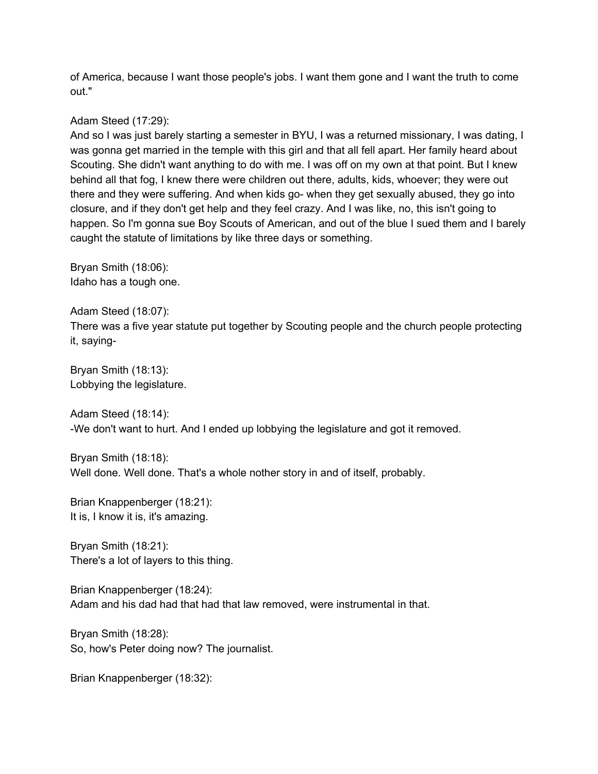of America, because I want those people's jobs. I want them gone and I want the truth to come out."

# Adam Steed (17:29):

And so I was just barely starting a semester in BYU, I was a returned missionary, I was dating, I was gonna get married in the temple with this girl and that all fell apart. Her family heard about Scouting. She didn't want anything to do with me. I was off on my own at that point. But I knew behind all that fog, I knew there were children out there, adults, kids, whoever; they were out there and they were suffering. And when kids go- when they get sexually abused, they go into closure, and if they don't get help and they feel crazy. And I was like, no, this isn't going to happen. So I'm gonna sue Boy Scouts of American, and out of the blue I sued them and I barely caught the statute of limitations by like three days or something.

Bryan Smith (18:06): Idaho has a tough one.

Adam Steed (18:07): There was a five year statute put together by Scouting people and the church people protecting it, saying-

Bryan Smith (18:13): Lobbying the legislature.

Adam Steed (18:14): -We don't want to hurt. And I ended up lobbying the legislature and got it removed.

Bryan Smith (18:18): Well done. Well done. That's a whole nother story in and of itself, probably.

Brian Knappenberger (18:21): It is, I know it is, it's amazing.

Bryan Smith (18:21): There's a lot of layers to this thing.

Brian Knappenberger (18:24): Adam and his dad had that had that law removed, were instrumental in that.

Bryan Smith (18:28): So, how's Peter doing now? The journalist.

Brian Knappenberger (18:32):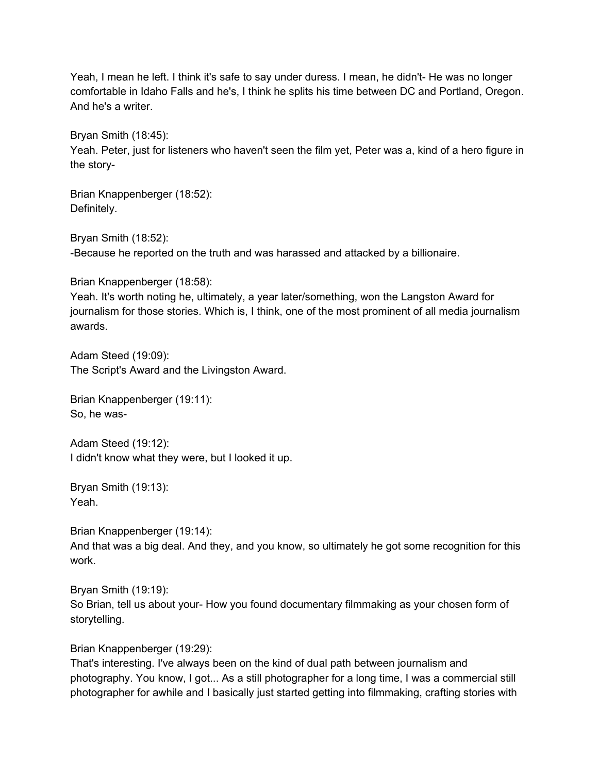Yeah, I mean he left. I think it's safe to say under duress. I mean, he didn't- He was no longer comfortable in Idaho Falls and he's, I think he splits his time between DC and Portland, Oregon. And he's a writer.

Bryan Smith (18:45):

Yeah. Peter, just for listeners who haven't seen the film yet, Peter was a, kind of a hero figure in the story-

Brian Knappenberger (18:52): Definitely.

Bryan Smith (18:52):

-Because he reported on the truth and was harassed and attacked by a billionaire.

Brian Knappenberger (18:58):

Yeah. It's worth noting he, ultimately, a year later/something, won the Langston Award for journalism for those stories. Which is, I think, one of the most prominent of all media journalism awards.

Adam Steed (19:09): The Script's Award and the Livingston Award.

Brian Knappenberger (19:11): So, he was-

Adam Steed (19:12): I didn't know what they were, but I looked it up.

Bryan Smith (19:13): Yeah.

Brian Knappenberger (19:14): And that was a big deal. And they, and you know, so ultimately he got some recognition for this work.

Bryan Smith (19:19): So Brian, tell us about your- How you found documentary filmmaking as your chosen form of storytelling.

Brian Knappenberger (19:29):

That's interesting. I've always been on the kind of dual path between journalism and photography. You know, I got... As a still photographer for a long time, I was a commercial still photographer for awhile and I basically just started getting into filmmaking, crafting stories with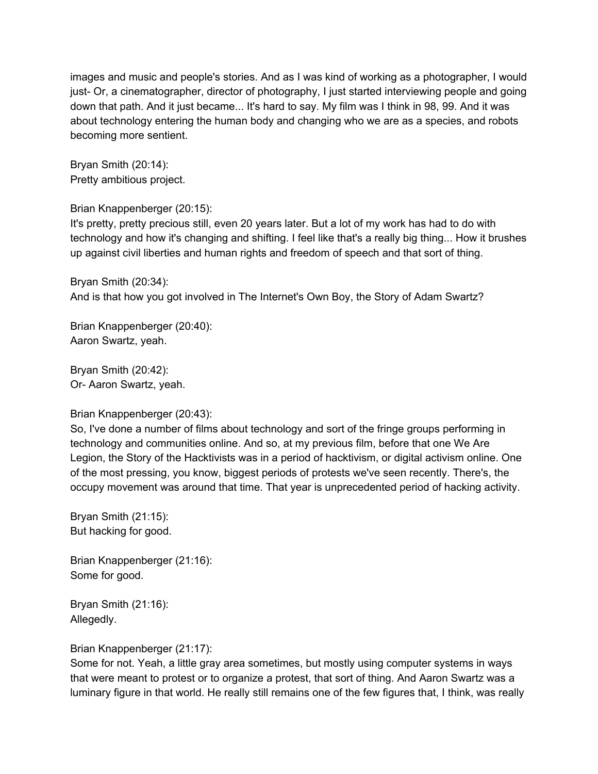images and music and people's stories. And as I was kind of working as a photographer, I would just- Or, a cinematographer, director of photography, I just started interviewing people and going down that path. And it just became... It's hard to say. My film was I think in 98, 99. And it was about technology entering the human body and changing who we are as a species, and robots becoming more sentient.

Bryan Smith (20:14): Pretty ambitious project.

# Brian Knappenberger (20:15):

It's pretty, pretty precious still, even 20 years later. But a lot of my work has had to do with technology and how it's changing and shifting. I feel like that's a really big thing... How it brushes up against civil liberties and human rights and freedom of speech and that sort of thing.

Bryan Smith (20:34): And is that how you got involved in The Internet's Own Boy, the Story of Adam Swartz?

Brian Knappenberger (20:40): Aaron Swartz, yeah.

Bryan Smith (20:42): Or- Aaron Swartz, yeah.

## Brian Knappenberger (20:43):

So, I've done a number of films about technology and sort of the fringe groups performing in technology and communities online. And so, at my previous film, before that one We Are Legion, the Story of the Hacktivists was in a period of hacktivism, or digital activism online. One of the most pressing, you know, biggest periods of protests we've seen recently. There's, the occupy movement was around that time. That year is unprecedented period of hacking activity.

Bryan Smith (21:15): But hacking for good.

Brian Knappenberger (21:16): Some for good.

Bryan Smith (21:16): Allegedly.

Brian Knappenberger (21:17):

Some for not. Yeah, a little gray area sometimes, but mostly using computer systems in ways that were meant to protest or to organize a protest, that sort of thing. And Aaron Swartz was a luminary figure in that world. He really still remains one of the few figures that, I think, was really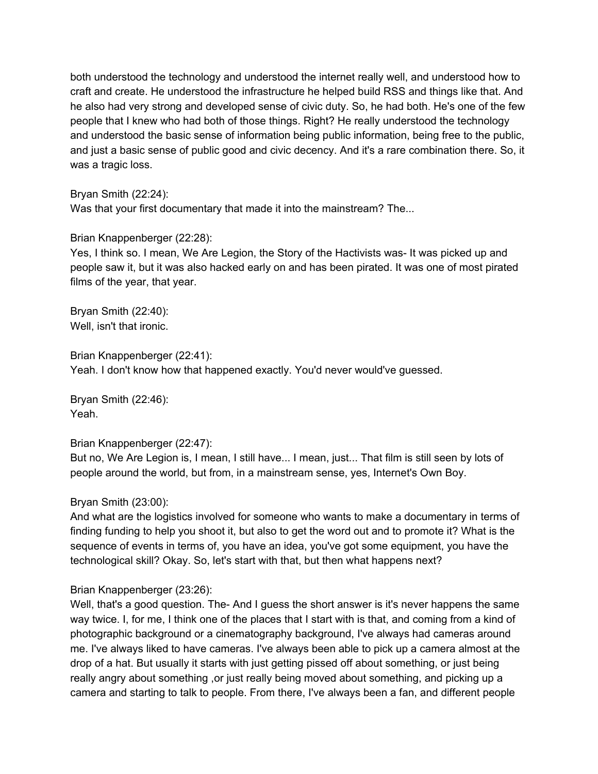both understood the technology and understood the internet really well, and understood how to craft and create. He understood the infrastructure he helped build RSS and things like that. And he also had very strong and developed sense of civic duty. So, he had both. He's one of the few people that I knew who had both of those things. Right? He really understood the technology and understood the basic sense of information being public information, being free to the public, and just a basic sense of public good and civic decency. And it's a rare combination there. So, it was a tragic loss.

## Bryan Smith (22:24):

Was that your first documentary that made it into the mainstream? The...

# Brian Knappenberger (22:28):

Yes, I think so. I mean, We Are Legion, the Story of the Hactivists was- It was picked up and people saw it, but it was also hacked early on and has been pirated. It was one of most pirated films of the year, that year.

Bryan Smith (22:40): Well, isn't that ironic.

Brian Knappenberger (22:41): Yeah. I don't know how that happened exactly. You'd never would've guessed.

Bryan Smith (22:46): Yeah.

## Brian Knappenberger (22:47):

But no, We Are Legion is, I mean, I still have... I mean, just... That film is still seen by lots of people around the world, but from, in a mainstream sense, yes, Internet's Own Boy.

# Bryan Smith (23:00):

And what are the logistics involved for someone who wants to make a documentary in terms of finding funding to help you shoot it, but also to get the word out and to promote it? What is the sequence of events in terms of, you have an idea, you've got some equipment, you have the technological skill? Okay. So, let's start with that, but then what happens next?

## Brian Knappenberger (23:26):

Well, that's a good question. The-And I guess the short answer is it's never happens the same way twice. I, for me, I think one of the places that I start with is that, and coming from a kind of photographic background or a cinematography background, I've always had cameras around me. I've always liked to have cameras. I've always been able to pick up a camera almost at the drop of a hat. But usually it starts with just getting pissed off about something, or just being really angry about something , or just really being moved about something, and picking up a camera and starting to talk to people. From there, I've always been a fan, and different people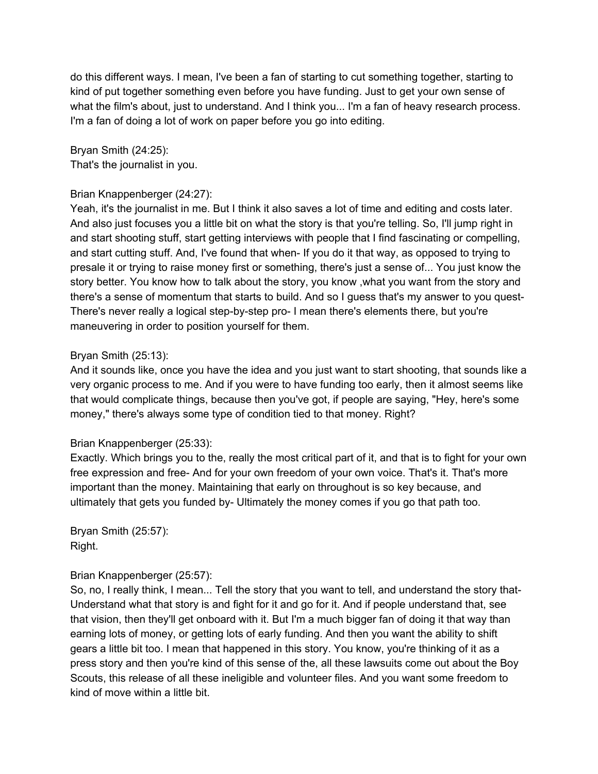do this different ways. I mean, I've been a fan of starting to cut something together, starting to kind of put together something even before you have funding. Just to get your own sense of what the film's about, just to understand. And I think you... I'm a fan of heavy research process. I'm a fan of doing a lot of work on paper before you go into editing.

Bryan Smith (24:25): That's the journalist in you.

# Brian Knappenberger (24:27):

Yeah, it's the journalist in me. But I think it also saves a lot of time and editing and costs later. And also just focuses you a little bit on what the story is that you're telling. So, I'll jump right in and start shooting stuff, start getting interviews with people that I find fascinating or compelling, and start cutting stuff. And, I've found that when- If you do it that way, as opposed to trying to presale it or trying to raise money first or something, there's just a sense of... You just know the story better. You know how to talk about the story, you know ,what you want from the story and there's a sense of momentum that starts to build. And so I guess that's my answer to you quest-There's never really a logical step-by-step pro- I mean there's elements there, but you're maneuvering in order to position yourself for them.

# Bryan Smith (25:13):

And it sounds like, once you have the idea and you just want to start shooting, that sounds like a very organic process to me. And if you were to have funding too early, then it almost seems like that would complicate things, because then you've got, if people are saying, "Hey, here's some money," there's always some type of condition tied to that money. Right?

## Brian Knappenberger (25:33):

Exactly. Which brings you to the, really the most critical part of it, and that is to fight for your own free expression and free- And for your own freedom of your own voice. That's it. That's more important than the money. Maintaining that early on throughout is so key because, and ultimately that gets you funded by- Ultimately the money comes if you go that path too.

Bryan Smith (25:57): Right.

## Brian Knappenberger (25:57):

So, no, I really think, I mean... Tell the story that you want to tell, and understand the story that-Understand what that story is and fight for it and go for it. And if people understand that, see that vision, then they'll get onboard with it. But I'm a much bigger fan of doing it that way than earning lots of money, or getting lots of early funding. And then you want the ability to shift gears a little bit too. I mean that happened in this story. You know, you're thinking of it as a press story and then you're kind of this sense of the, all these lawsuits come out about the Boy Scouts, this release of all these ineligible and volunteer files. And you want some freedom to kind of move within a little bit.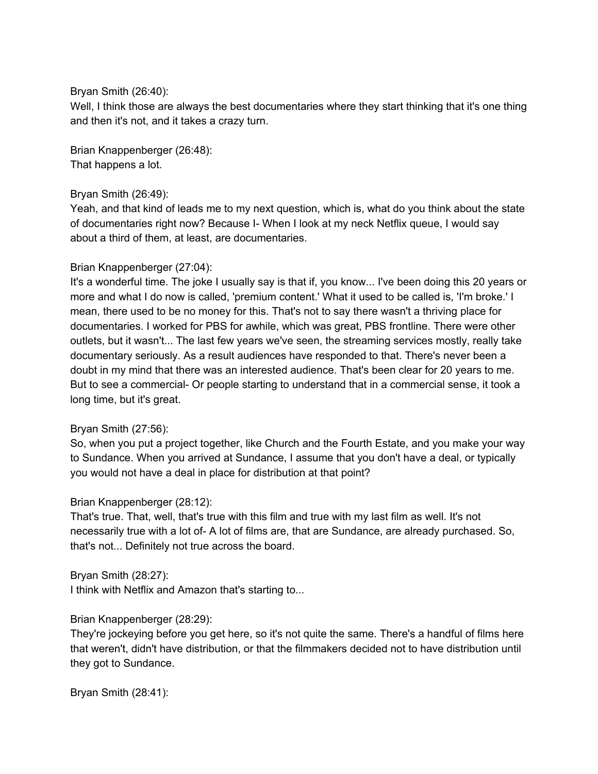# Bryan Smith (26:40):

Well, I think those are always the best documentaries where they start thinking that it's one thing and then it's not, and it takes a crazy turn.

Brian Knappenberger (26:48): That happens a lot.

## Bryan Smith (26:49):

Yeah, and that kind of leads me to my next question, which is, what do you think about the state of documentaries right now? Because I- When I look at my neck Netflix queue, I would say about a third of them, at least, are documentaries.

## Brian Knappenberger (27:04):

It's a wonderful time. The joke I usually say is that if, you know... I've been doing this 20 years or more and what I do now is called, 'premium content.' What it used to be called is, 'I'm broke.' I mean, there used to be no money for this. That's not to say there wasn't a thriving place for documentaries. I worked for PBS for awhile, which was great, PBS frontline. There were other outlets, but it wasn't... The last few years we've seen, the streaming services mostly, really take documentary seriously. As a result audiences have responded to that. There's never been a doubt in my mind that there was an interested audience. That's been clear for 20 years to me. But to see a commercial- Or people starting to understand that in a commercial sense, it took a long time, but it's great.

## Bryan Smith (27:56):

So, when you put a project together, like Church and the Fourth Estate, and you make your way to Sundance. When you arrived at Sundance, I assume that you don't have a deal, or typically you would not have a deal in place for distribution at that point?

## Brian Knappenberger (28:12):

That's true. That, well, that's true with this film and true with my last film as well. It's not necessarily true with a lot of- A lot of films are, that are Sundance, are already purchased. So, that's not... Definitely not true across the board.

## Bryan Smith (28:27):

I think with Netflix and Amazon that's starting to...

## Brian Knappenberger (28:29):

They're jockeying before you get here, so it's not quite the same. There's a handful of films here that weren't, didn't have distribution, or that the filmmakers decided not to have distribution until they got to Sundance.

Bryan Smith (28:41):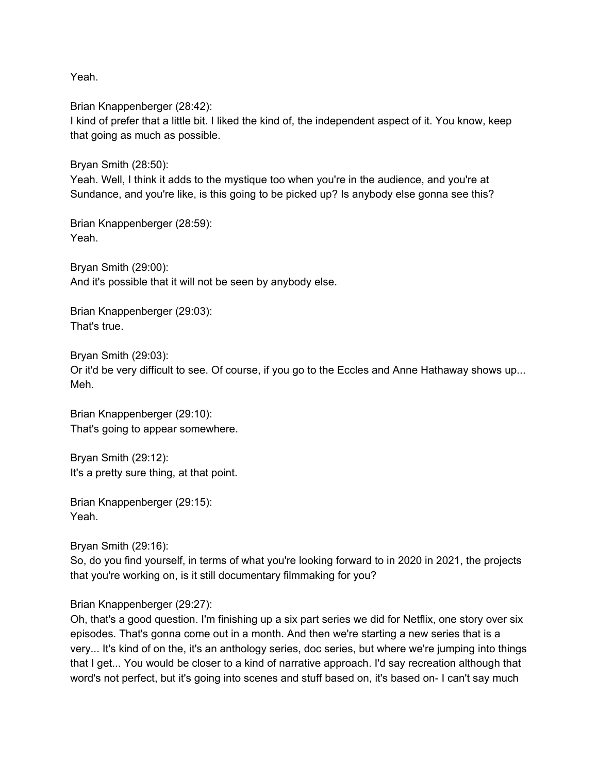Yeah.

Brian Knappenberger (28:42): I kind of prefer that a little bit. I liked the kind of, the independent aspect of it. You know, keep that going as much as possible.

Bryan Smith (28:50):

Yeah. Well, I think it adds to the mystique too when you're in the audience, and you're at Sundance, and you're like, is this going to be picked up? Is anybody else gonna see this?

Brian Knappenberger (28:59): Yeah.

Bryan Smith (29:00): And it's possible that it will not be seen by anybody else.

Brian Knappenberger (29:03): That's true.

Bryan Smith (29:03): Or it'd be very difficult to see. Of course, if you go to the Eccles and Anne Hathaway shows up... Meh.

Brian Knappenberger (29:10): That's going to appear somewhere.

Bryan Smith (29:12): It's a pretty sure thing, at that point.

Brian Knappenberger (29:15): Yeah.

Bryan Smith (29:16):

So, do you find yourself, in terms of what you're looking forward to in 2020 in 2021, the projects that you're working on, is it still documentary filmmaking for you?

Brian Knappenberger (29:27):

Oh, that's a good question. I'm finishing up a six part series we did for Netflix, one story over six episodes. That's gonna come out in a month. And then we're starting a new series that is a very... It's kind of on the, it's an anthology series, doc series, but where we're jumping into things that I get... You would be closer to a kind of narrative approach. I'd say recreation although that word's not perfect, but it's going into scenes and stuff based on, it's based on- I can't say much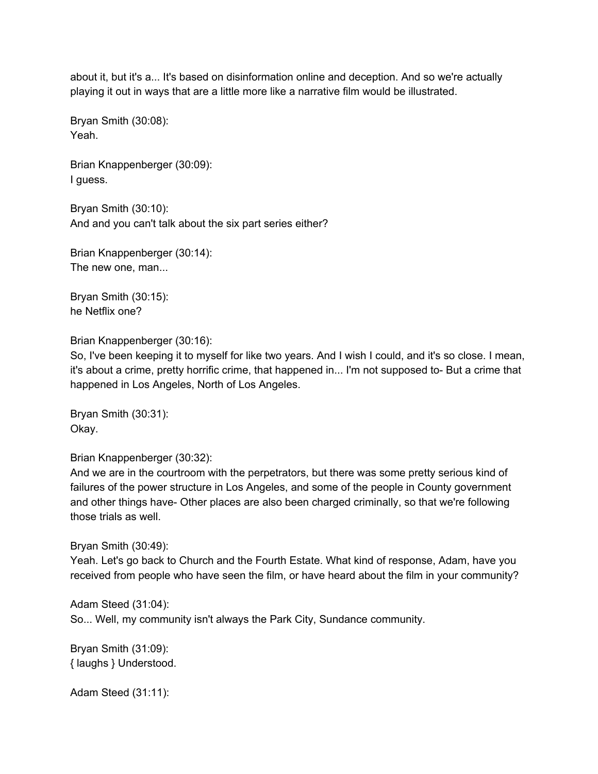about it, but it's a... It's based on disinformation online and deception. And so we're actually playing it out in ways that are a little more like a narrative film would be illustrated.

Bryan Smith (30:08): Yeah.

Brian Knappenberger (30:09): I guess.

Bryan Smith (30:10): And and you can't talk about the six part series either?

Brian Knappenberger (30:14): The new one, man...

Bryan Smith (30:15): he Netflix one?

Brian Knappenberger (30:16):

So, I've been keeping it to myself for like two years. And I wish I could, and it's so close. I mean, it's about a crime, pretty horrific crime, that happened in... I'm not supposed to- But a crime that happened in Los Angeles, North of Los Angeles.

Bryan Smith (30:31): Okay.

Brian Knappenberger (30:32):

And we are in the courtroom with the perpetrators, but there was some pretty serious kind of failures of the power structure in Los Angeles, and some of the people in County government and other things have- Other places are also been charged criminally, so that we're following those trials as well.

## Bryan Smith (30:49):

Yeah. Let's go back to Church and the Fourth Estate. What kind of response, Adam, have you received from people who have seen the film, or have heard about the film in your community?

Adam Steed (31:04): So... Well, my community isn't always the Park City, Sundance community.

Bryan Smith (31:09): { laughs } Understood.

Adam Steed (31:11):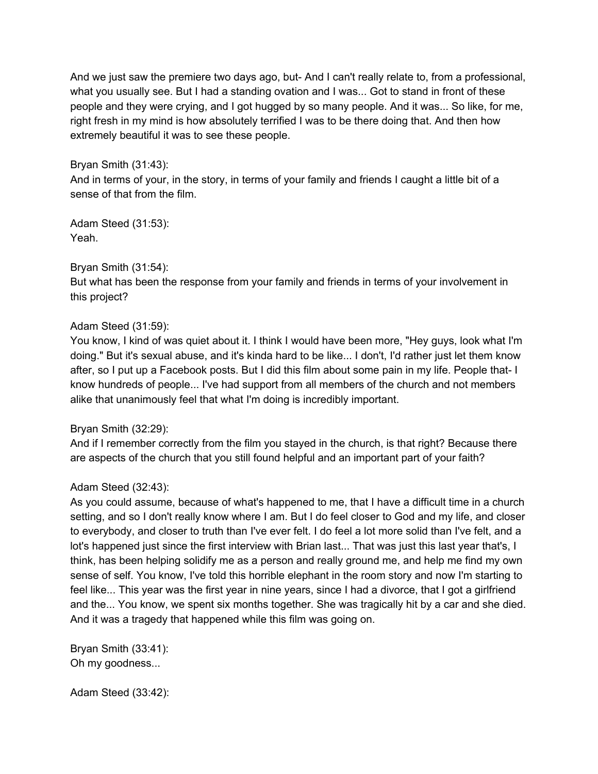And we just saw the premiere two days ago, but- And I can't really relate to, from a professional, what you usually see. But I had a standing ovation and I was... Got to stand in front of these people and they were crying, and I got hugged by so many people. And it was... So like, for me, right fresh in my mind is how absolutely terrified I was to be there doing that. And then how extremely beautiful it was to see these people.

# Bryan Smith (31:43):

And in terms of your, in the story, in terms of your family and friends I caught a little bit of a sense of that from the film.

Adam Steed (31:53): Yeah.

# Bryan Smith (31:54):

But what has been the response from your family and friends in terms of your involvement in this project?

# Adam Steed (31:59):

You know, I kind of was quiet about it. I think I would have been more, "Hey guys, look what I'm doing." But it's sexual abuse, and it's kinda hard to be like... I don't, I'd rather just let them know after, so I put up a Facebook posts. But I did this film about some pain in my life. People that- I know hundreds of people... I've had support from all members of the church and not members alike that unanimously feel that what I'm doing is incredibly important.

## Bryan Smith (32:29):

And if I remember correctly from the film you stayed in the church, is that right? Because there are aspects of the church that you still found helpful and an important part of your faith?

# Adam Steed (32:43):

As you could assume, because of what's happened to me, that I have a difficult time in a church setting, and so I don't really know where I am. But I do feel closer to God and my life, and closer to everybody, and closer to truth than I've ever felt. I do feel a lot more solid than I've felt, and a lot's happened just since the first interview with Brian last... That was just this last year that's, I think, has been helping solidify me as a person and really ground me, and help me find my own sense of self. You know, I've told this horrible elephant in the room story and now I'm starting to feel like... This year was the first year in nine years, since I had a divorce, that I got a girlfriend and the... You know, we spent six months together. She was tragically hit by a car and she died. And it was a tragedy that happened while this film was going on.

Bryan Smith (33:41): Oh my goodness...

Adam Steed (33:42):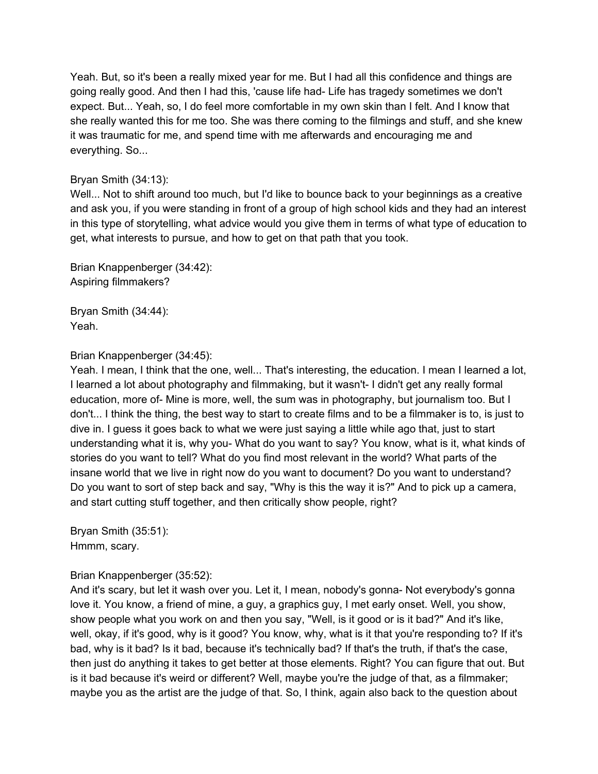Yeah. But, so it's been a really mixed year for me. But I had all this confidence and things are going really good. And then I had this, 'cause life had- Life has tragedy sometimes we don't expect. But... Yeah, so, I do feel more comfortable in my own skin than I felt. And I know that she really wanted this for me too. She was there coming to the filmings and stuff, and she knew it was traumatic for me, and spend time with me afterwards and encouraging me and everything. So...

# Bryan Smith (34:13):

Well... Not to shift around too much, but I'd like to bounce back to your beginnings as a creative and ask you, if you were standing in front of a group of high school kids and they had an interest in this type of storytelling, what advice would you give them in terms of what type of education to get, what interests to pursue, and how to get on that path that you took.

Brian Knappenberger (34:42): Aspiring filmmakers?

Bryan Smith (34:44): Yeah.

## Brian Knappenberger (34:45):

Yeah. I mean, I think that the one, well... That's interesting, the education. I mean I learned a lot, I learned a lot about photography and filmmaking, but it wasn't- I didn't get any really formal education, more of- Mine is more, well, the sum was in photography, but journalism too. But I don't... I think the thing, the best way to start to create films and to be a filmmaker is to, is just to dive in. I guess it goes back to what we were just saying a little while ago that, just to start understanding what it is, why you- What do you want to say? You know, what is it, what kinds of stories do you want to tell? What do you find most relevant in the world? What parts of the insane world that we live in right now do you want to document? Do you want to understand? Do you want to sort of step back and say, "Why is this the way it is?" And to pick up a camera, and start cutting stuff together, and then critically show people, right?

Bryan Smith (35:51): Hmmm, scary.

## Brian Knappenberger (35:52):

And it's scary, but let it wash over you. Let it, I mean, nobody's gonna- Not everybody's gonna love it. You know, a friend of mine, a guy, a graphics guy, I met early onset. Well, you show, show people what you work on and then you say, "Well, is it good or is it bad?" And it's like, well, okay, if it's good, why is it good? You know, why, what is it that you're responding to? If it's bad, why is it bad? Is it bad, because it's technically bad? If that's the truth, if that's the case, then just do anything it takes to get better at those elements. Right? You can figure that out. But is it bad because it's weird or different? Well, maybe you're the judge of that, as a filmmaker; maybe you as the artist are the judge of that. So, I think, again also back to the question about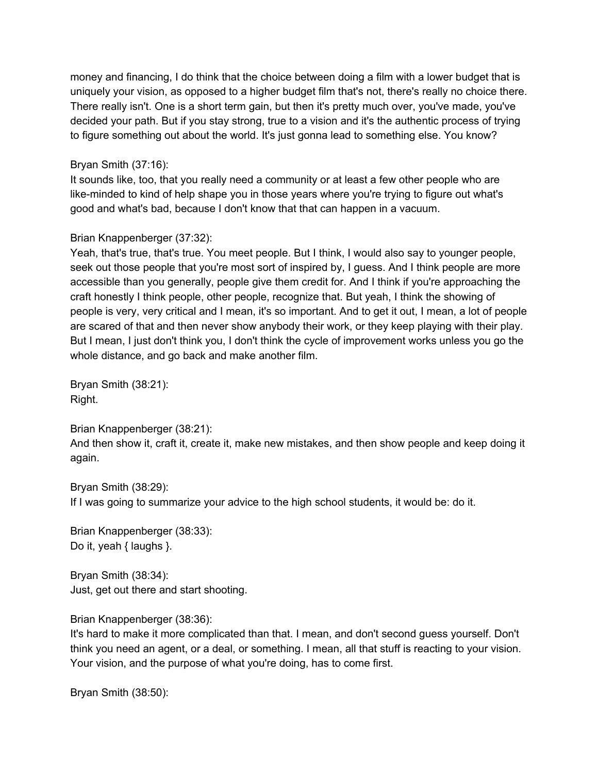money and financing, I do think that the choice between doing a film with a lower budget that is uniquely your vision, as opposed to a higher budget film that's not, there's really no choice there. There really isn't. One is a short term gain, but then it's pretty much over, you've made, you've decided your path. But if you stay strong, true to a vision and it's the authentic process of trying to figure something out about the world. It's just gonna lead to something else. You know?

Bryan Smith (37:16):

It sounds like, too, that you really need a community or at least a few other people who are like-minded to kind of help shape you in those years where you're trying to figure out what's good and what's bad, because I don't know that that can happen in a vacuum.

# Brian Knappenberger (37:32):

Yeah, that's true, that's true. You meet people. But I think, I would also say to younger people, seek out those people that you're most sort of inspired by, I guess. And I think people are more accessible than you generally, people give them credit for. And I think if you're approaching the craft honestly I think people, other people, recognize that. But yeah, I think the showing of people is very, very critical and I mean, it's so important. And to get it out, I mean, a lot of people are scared of that and then never show anybody their work, or they keep playing with their play. But I mean, I just don't think you, I don't think the cycle of improvement works unless you go the whole distance, and go back and make another film.

Bryan Smith (38:21): Right.

Brian Knappenberger (38:21):

And then show it, craft it, create it, make new mistakes, and then show people and keep doing it again.

Bryan Smith (38:29): If I was going to summarize your advice to the high school students, it would be: do it.

Brian Knappenberger (38:33): Do it, yeah { laughs }.

Bryan Smith (38:34): Just, get out there and start shooting.

Brian Knappenberger (38:36):

It's hard to make it more complicated than that. I mean, and don't second guess yourself. Don't think you need an agent, or a deal, or something. I mean, all that stuff is reacting to your vision. Your vision, and the purpose of what you're doing, has to come first.

Bryan Smith (38:50):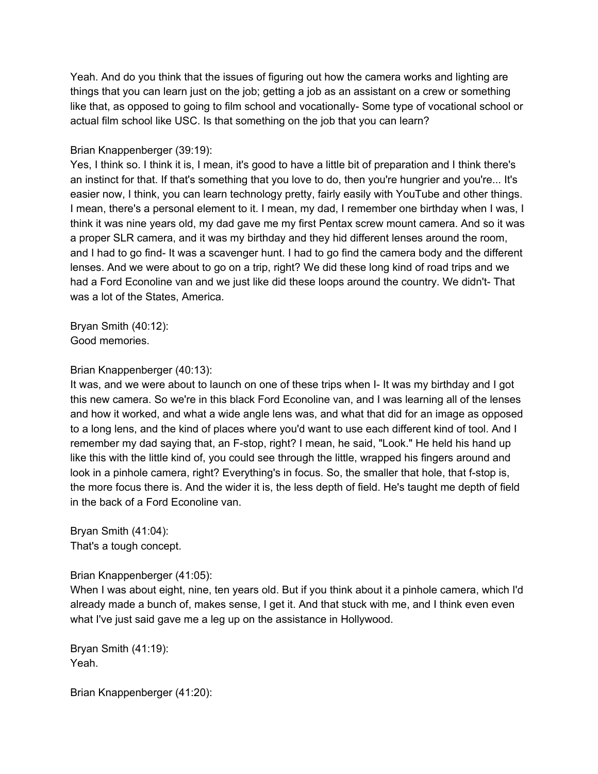Yeah. And do you think that the issues of figuring out how the camera works and lighting are things that you can learn just on the job; getting a job as an assistant on a crew or something like that, as opposed to going to film school and vocationally- Some type of vocational school or actual film school like USC. Is that something on the job that you can learn?

# Brian Knappenberger (39:19):

Yes, I think so. I think it is, I mean, it's good to have a little bit of preparation and I think there's an instinct for that. If that's something that you love to do, then you're hungrier and you're... It's easier now, I think, you can learn technology pretty, fairly easily with YouTube and other things. I mean, there's a personal element to it. I mean, my dad, I remember one birthday when I was, I think it was nine years old, my dad gave me my first Pentax screw mount camera. And so it was a proper SLR camera, and it was my birthday and they hid different lenses around the room, and I had to go find- It was a scavenger hunt. I had to go find the camera body and the different lenses. And we were about to go on a trip, right? We did these long kind of road trips and we had a Ford Econoline van and we just like did these loops around the country. We didn't- That was a lot of the States, America.

Bryan Smith (40:12): Good memories.

## Brian Knappenberger (40:13):

It was, and we were about to launch on one of these trips when I- It was my birthday and I got this new camera. So we're in this black Ford Econoline van, and I was learning all of the lenses and how it worked, and what a wide angle lens was, and what that did for an image as opposed to a long lens, and the kind of places where you'd want to use each different kind of tool. And I remember my dad saying that, an F-stop, right? I mean, he said, "Look." He held his hand up like this with the little kind of, you could see through the little, wrapped his fingers around and look in a pinhole camera, right? Everything's in focus. So, the smaller that hole, that f-stop is, the more focus there is. And the wider it is, the less depth of field. He's taught me depth of field in the back of a Ford Econoline van.

Bryan Smith (41:04): That's a tough concept.

Brian Knappenberger (41:05):

When I was about eight, nine, ten years old. But if you think about it a pinhole camera, which I'd already made a bunch of, makes sense, I get it. And that stuck with me, and I think even even what I've just said gave me a leg up on the assistance in Hollywood.

Bryan Smith (41:19): Yeah.

Brian Knappenberger (41:20):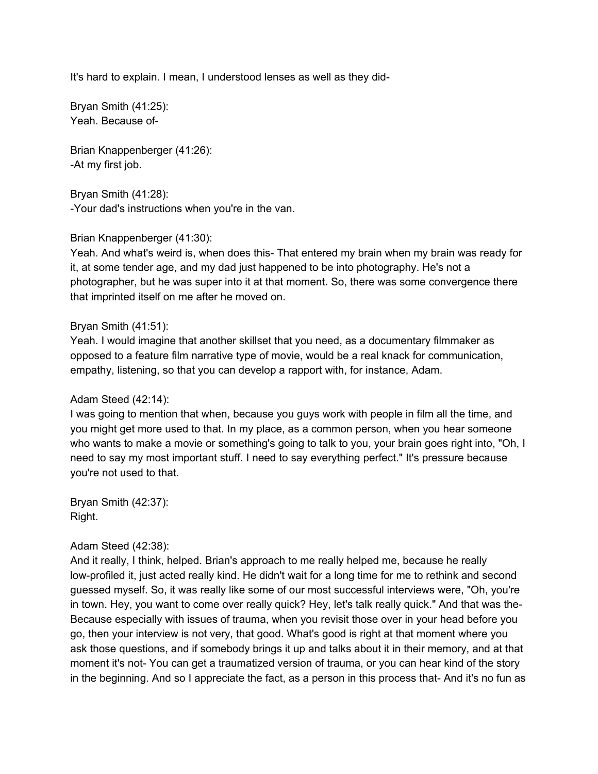It's hard to explain. I mean, I understood lenses as well as they did-

Bryan Smith (41:25): Yeah. Because of-

Brian Knappenberger (41:26): -At my first job.

Bryan Smith (41:28): -Your dad's instructions when you're in the van.

#### Brian Knappenberger (41:30):

Yeah. And what's weird is, when does this- That entered my brain when my brain was ready for it, at some tender age, and my dad just happened to be into photography. He's not a photographer, but he was super into it at that moment. So, there was some convergence there that imprinted itself on me after he moved on.

#### Bryan Smith (41:51):

Yeah. I would imagine that another skillset that you need, as a documentary filmmaker as opposed to a feature film narrative type of movie, would be a real knack for communication, empathy, listening, so that you can develop a rapport with, for instance, Adam.

## Adam Steed (42:14):

I was going to mention that when, because you guys work with people in film all the time, and you might get more used to that. In my place, as a common person, when you hear someone who wants to make a movie or something's going to talk to you, your brain goes right into, "Oh, I need to say my most important stuff. I need to say everything perfect." It's pressure because you're not used to that.

Bryan Smith (42:37): Right.

## Adam Steed (42:38):

And it really, I think, helped. Brian's approach to me really helped me, because he really low-profiled it, just acted really kind. He didn't wait for a long time for me to rethink and second guessed myself. So, it was really like some of our most successful interviews were, "Oh, you're in town. Hey, you want to come over really quick? Hey, let's talk really quick." And that was the-Because especially with issues of trauma, when you revisit those over in your head before you go, then your interview is not very, that good. What's good is right at that moment where you ask those questions, and if somebody brings it up and talks about it in their memory, and at that moment it's not- You can get a traumatized version of trauma, or you can hear kind of the story in the beginning. And so I appreciate the fact, as a person in this process that- And it's no fun as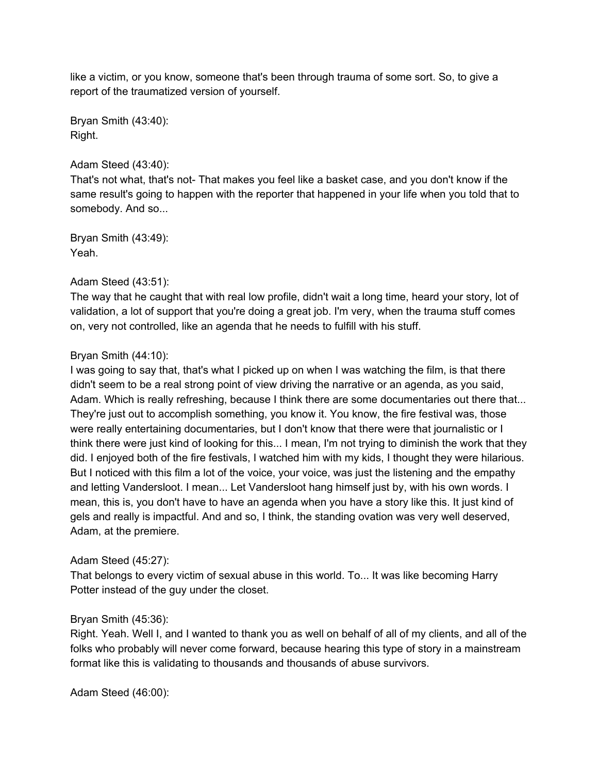like a victim, or you know, someone that's been through trauma of some sort. So, to give a report of the traumatized version of yourself.

Bryan Smith (43:40): Right.

# Adam Steed (43:40):

That's not what, that's not- That makes you feel like a basket case, and you don't know if the same result's going to happen with the reporter that happened in your life when you told that to somebody. And so...

Bryan Smith (43:49): Yeah.

# Adam Steed (43:51):

The way that he caught that with real low profile, didn't wait a long time, heard your story, lot of validation, a lot of support that you're doing a great job. I'm very, when the trauma stuff comes on, very not controlled, like an agenda that he needs to fulfill with his stuff.

## Bryan Smith (44:10):

I was going to say that, that's what I picked up on when I was watching the film, is that there didn't seem to be a real strong point of view driving the narrative or an agenda, as you said, Adam. Which is really refreshing, because I think there are some documentaries out there that... They're just out to accomplish something, you know it. You know, the fire festival was, those were really entertaining documentaries, but I don't know that there were that journalistic or I think there were just kind of looking for this... I mean, I'm not trying to diminish the work that they did. I enjoyed both of the fire festivals, I watched him with my kids, I thought they were hilarious. But I noticed with this film a lot of the voice, your voice, was just the listening and the empathy and letting Vandersloot. I mean... Let Vandersloot hang himself just by, with his own words. I mean, this is, you don't have to have an agenda when you have a story like this. It just kind of gels and really is impactful. And and so, I think, the standing ovation was very well deserved, Adam, at the premiere.

## Adam Steed (45:27):

That belongs to every victim of sexual abuse in this world. To... It was like becoming Harry Potter instead of the guy under the closet.

## Bryan Smith (45:36):

Right. Yeah. Well I, and I wanted to thank you as well on behalf of all of my clients, and all of the folks who probably will never come forward, because hearing this type of story in a mainstream format like this is validating to thousands and thousands of abuse survivors.

Adam Steed (46:00):